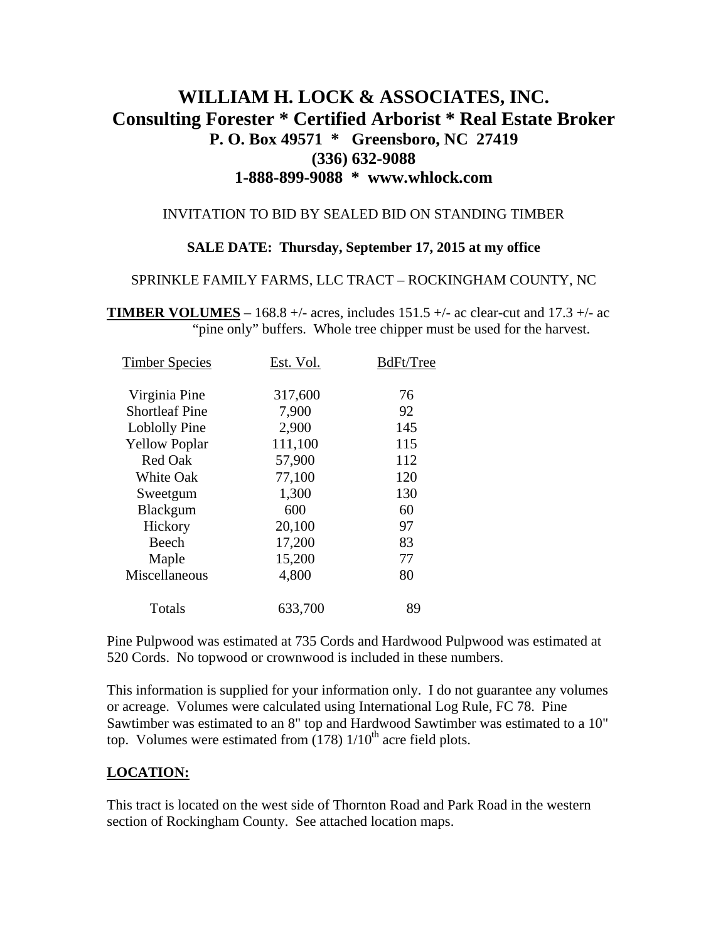# **WILLIAM H. LOCK & ASSOCIATES, INC. Consulting Forester \* Certified Arborist \* Real Estate Broker P. O. Box 49571 \* Greensboro, NC 27419 (336) 632-9088 1-888-899-9088 \* www.whlock.com**

#### INVITATION TO BID BY SEALED BID ON STANDING TIMBER

#### **SALE DATE: Thursday, September 17, 2015 at my office**

#### SPRINKLE FAMILY FARMS, LLC TRACT – ROCKINGHAM COUNTY, NC

**TIMBER VOLUMES** – 168.8 +/- acres, includes 151.5 +/- ac clear-cut and 17.3 +/- ac "pine only" buffers. Whole tree chipper must be used for the harvest.

| <b>Timber Species</b> | Est. Vol. | BdFt/Tree |
|-----------------------|-----------|-----------|
| Virginia Pine         | 317,600   | 76        |
| <b>Shortleaf Pine</b> | 7,900     | 92        |
| Loblolly Pine         | 2,900     | 145       |
| <b>Yellow Poplar</b>  | 111,100   | 115       |
| <b>Red Oak</b>        | 57,900    | 112       |
| <b>White Oak</b>      | 77,100    | 120       |
| Sweetgum              | 1,300     | 130       |
| Blackgum              | 600       | 60        |
| Hickory               | 20,100    | 97        |
| Beech                 | 17,200    | 83        |
| Maple                 | 15,200    | 77        |
| Miscellaneous         | 4,800     | 80        |
| Totals                | 633,700   | 89        |
|                       |           |           |

Pine Pulpwood was estimated at 735 Cords and Hardwood Pulpwood was estimated at 520 Cords. No topwood or crownwood is included in these numbers.

This information is supplied for your information only. I do not guarantee any volumes or acreage. Volumes were calculated using International Log Rule, FC 78. Pine Sawtimber was estimated to an 8" top and Hardwood Sawtimber was estimated to a 10" top. Volumes were estimated from  $(178)$  1/10<sup>th</sup> acre field plots.

### **LOCATION:**

This tract is located on the west side of Thornton Road and Park Road in the western section of Rockingham County. See attached location maps.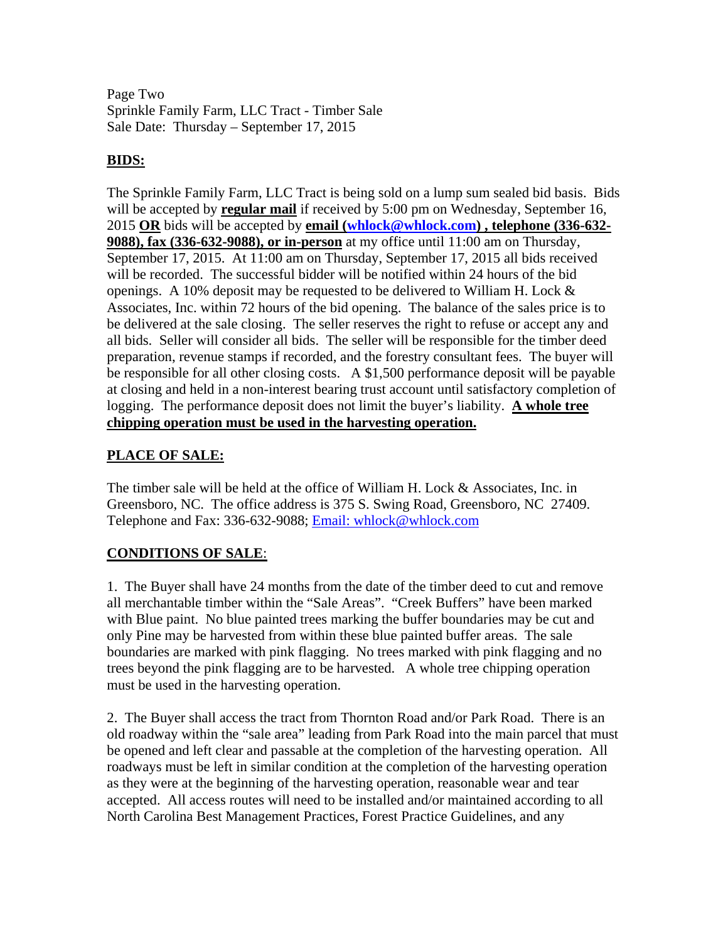Page Two Sprinkle Family Farm, LLC Tract - Timber Sale Sale Date: Thursday – September 17, 2015

### **BIDS:**

The Sprinkle Family Farm, LLC Tract is being sold on a lump sum sealed bid basis. Bids will be accepted by **regular mail** if received by 5:00 pm on Wednesday, September 16, 2015 **OR** bids will be accepted by **email [\(whlock@whlock.com\)](mailto:whlock@whlock.com) , telephone (336-632- 9088), fax (336-632-9088), or in-person** at my office until 11:00 am on Thursday, September 17, 2015. At 11:00 am on Thursday, September 17, 2015 all bids received will be recorded. The successful bidder will be notified within 24 hours of the bid openings. A 10% deposit may be requested to be delivered to William H. Lock  $\&$ Associates, Inc. within 72 hours of the bid opening. The balance of the sales price is to be delivered at the sale closing. The seller reserves the right to refuse or accept any and all bids. Seller will consider all bids. The seller will be responsible for the timber deed preparation, revenue stamps if recorded, and the forestry consultant fees. The buyer will be responsible for all other closing costs. A \$1,500 performance deposit will be payable at closing and held in a non-interest bearing trust account until satisfactory completion of logging. The performance deposit does not limit the buyer's liability. **A whole tree chipping operation must be used in the harvesting operation.**

### **PLACE OF SALE:**

The timber sale will be held at the office of William H. Lock & Associates, Inc. in Greensboro, NC. The office address is 375 S. Swing Road, Greensboro, NC 27409. Telephone and Fax: 336-632-9088; Email: whlock@whlock.com

## **CONDITIONS OF SALE**:

1. The Buyer shall have 24 months from the date of the timber deed to cut and remove all merchantable timber within the "Sale Areas". "Creek Buffers" have been marked with Blue paint. No blue painted trees marking the buffer boundaries may be cut and only Pine may be harvested from within these blue painted buffer areas. The sale boundaries are marked with pink flagging. No trees marked with pink flagging and no trees beyond the pink flagging are to be harvested. A whole tree chipping operation must be used in the harvesting operation.

2. The Buyer shall access the tract from Thornton Road and/or Park Road. There is an old roadway within the "sale area" leading from Park Road into the main parcel that must be opened and left clear and passable at the completion of the harvesting operation. All roadways must be left in similar condition at the completion of the harvesting operation as they were at the beginning of the harvesting operation, reasonable wear and tear accepted. All access routes will need to be installed and/or maintained according to all North Carolina Best Management Practices, Forest Practice Guidelines, and any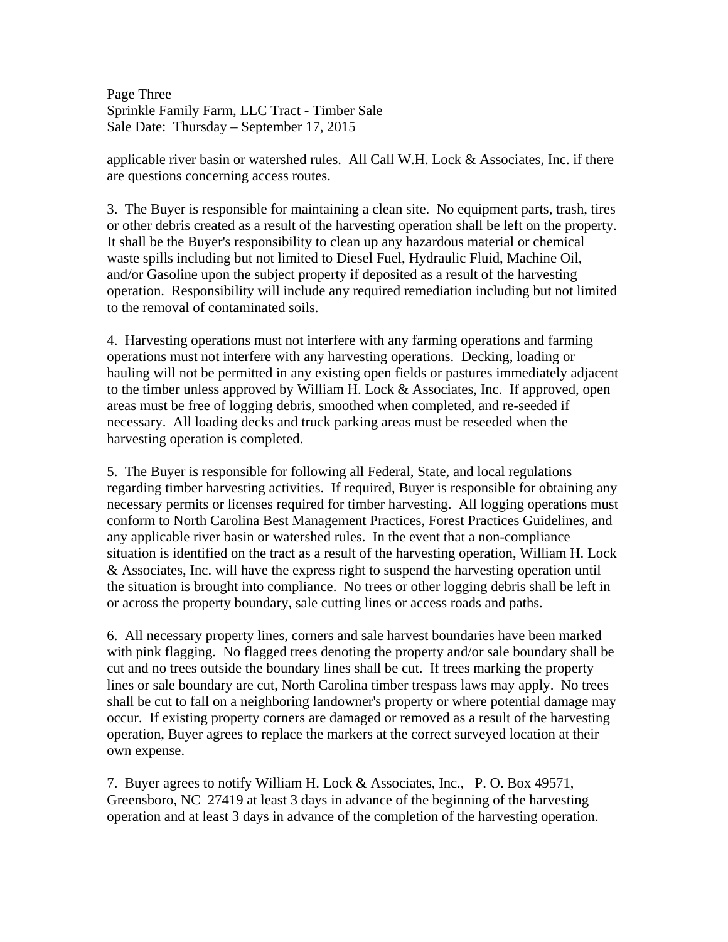Page Three Sprinkle Family Farm, LLC Tract - Timber Sale Sale Date: Thursday – September 17, 2015

applicable river basin or watershed rules. All Call W.H. Lock & Associates, Inc. if there are questions concerning access routes.

3. The Buyer is responsible for maintaining a clean site. No equipment parts, trash, tires or other debris created as a result of the harvesting operation shall be left on the property. It shall be the Buyer's responsibility to clean up any hazardous material or chemical waste spills including but not limited to Diesel Fuel, Hydraulic Fluid, Machine Oil, and/or Gasoline upon the subject property if deposited as a result of the harvesting operation. Responsibility will include any required remediation including but not limited to the removal of contaminated soils.

4. Harvesting operations must not interfere with any farming operations and farming operations must not interfere with any harvesting operations. Decking, loading or hauling will not be permitted in any existing open fields or pastures immediately adjacent to the timber unless approved by William H. Lock & Associates, Inc. If approved, open areas must be free of logging debris, smoothed when completed, and re-seeded if necessary. All loading decks and truck parking areas must be reseeded when the harvesting operation is completed.

5. The Buyer is responsible for following all Federal, State, and local regulations regarding timber harvesting activities. If required, Buyer is responsible for obtaining any necessary permits or licenses required for timber harvesting. All logging operations must conform to North Carolina Best Management Practices, Forest Practices Guidelines, and any applicable river basin or watershed rules. In the event that a non-compliance situation is identified on the tract as a result of the harvesting operation, William H. Lock & Associates, Inc. will have the express right to suspend the harvesting operation until the situation is brought into compliance. No trees or other logging debris shall be left in or across the property boundary, sale cutting lines or access roads and paths.

6. All necessary property lines, corners and sale harvest boundaries have been marked with pink flagging. No flagged trees denoting the property and/or sale boundary shall be cut and no trees outside the boundary lines shall be cut. If trees marking the property lines or sale boundary are cut, North Carolina timber trespass laws may apply. No trees shall be cut to fall on a neighboring landowner's property or where potential damage may occur. If existing property corners are damaged or removed as a result of the harvesting operation, Buyer agrees to replace the markers at the correct surveyed location at their own expense.

7. Buyer agrees to notify William H. Lock & Associates, Inc., P. O. Box 49571, Greensboro, NC 27419 at least 3 days in advance of the beginning of the harvesting operation and at least 3 days in advance of the completion of the harvesting operation.